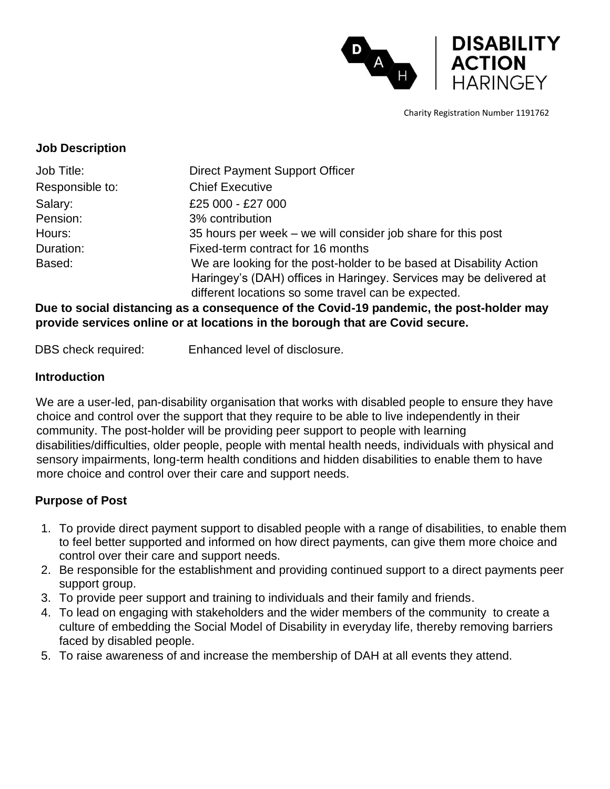

Charity Registration Number 1191762

#### **Job Description**

| Job Title:      | <b>Direct Payment Support Officer</b>                               |  |
|-----------------|---------------------------------------------------------------------|--|
| Responsible to: | <b>Chief Executive</b>                                              |  |
| Salary:         | £25 000 - £27 000                                                   |  |
| Pension:        | 3% contribution                                                     |  |
| Hours:          | 35 hours per week – we will consider job share for this post        |  |
| Duration:       | Fixed-term contract for 16 months                                   |  |
| Based:          | We are looking for the post-holder to be based at Disability Action |  |
|                 | Haringey's (DAH) offices in Haringey. Services may be delivered at  |  |
|                 | different locations so some travel can be expected.                 |  |

**Due to social distancing as a consequence of the Covid-19 pandemic, the post-holder may provide services online or at locations in the borough that are Covid secure.** 

DBS check required: Enhanced level of disclosure.

#### **Introduction**

We are a user-led, pan-disability organisation that works with disabled people to ensure they have choice and control over the support that they require to be able to live independently in their community. The post-holder will be providing peer support to people with learning disabilities/difficulties, older people, people with mental health needs, individuals with physical and sensory impairments, long-term health conditions and hidden disabilities to enable them to have more choice and control over their care and support needs.

### **Purpose of Post**

- 1. To provide direct payment support to disabled people with a range of disabilities, to enable them to feel better supported and informed on how direct payments, can give them more choice and control over their care and support needs.
- 2. Be responsible for the establishment and providing continued support to a direct payments peer support group.
- 3. To provide peer support and training to individuals and their family and friends.
- 4. To lead on engaging with stakeholders and the wider members of the community to create a culture of embedding the Social Model of Disability in everyday life, thereby removing barriers faced by disabled people.
- 5. To raise awareness of and increase the membership of DAH at all events they attend.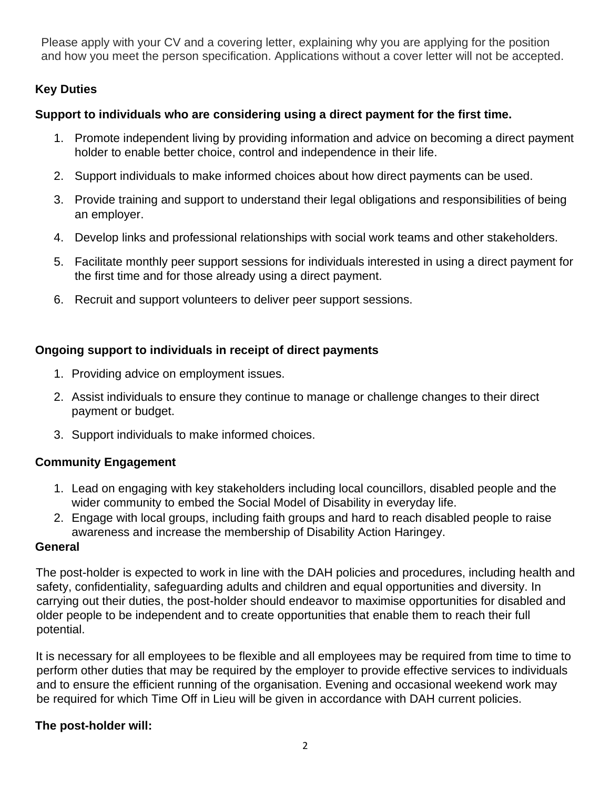Please apply with your CV and a covering letter, explaining why you are applying for the position and how you meet the person specification. Applications without a cover letter will not be accepted.

### **Key Duties**

### **Support to individuals who are considering using a direct payment for the first time.**

- 1. Promote independent living by providing information and advice on becoming a direct payment holder to enable better choice, control and independence in their life.
- 2. Support individuals to make informed choices about how direct payments can be used.
- 3. Provide training and support to understand their legal obligations and responsibilities of being an employer.
- 4. Develop links and professional relationships with social work teams and other stakeholders.
- 5. Facilitate monthly peer support sessions for individuals interested in using a direct payment for the first time and for those already using a direct payment.
- 6. Recruit and support volunteers to deliver peer support sessions.

# **Ongoing support to individuals in receipt of direct payments**

- 1. Providing advice on employment issues.
- 2. Assist individuals to ensure they continue to manage or challenge changes to their direct payment or budget.
- 3. Support individuals to make informed choices.

# **Community Engagement**

- 1. Lead on engaging with key stakeholders including local councillors, disabled people and the wider community to embed the Social Model of Disability in everyday life.
- 2. Engage with local groups, including faith groups and hard to reach disabled people to raise awareness and increase the membership of Disability Action Haringey.

### **General**

The post-holder is expected to work in line with the DAH policies and procedures, including health and safety, confidentiality, safeguarding adults and children and equal opportunities and diversity. In carrying out their duties, the post-holder should endeavor to maximise opportunities for disabled and older people to be independent and to create opportunities that enable them to reach their full potential.

It is necessary for all employees to be flexible and all employees may be required from time to time to perform other duties that may be required by the employer to provide effective services to individuals and to ensure the efficient running of the organisation. Evening and occasional weekend work may be required for which Time Off in Lieu will be given in accordance with DAH current policies.

# **The post-holder will:**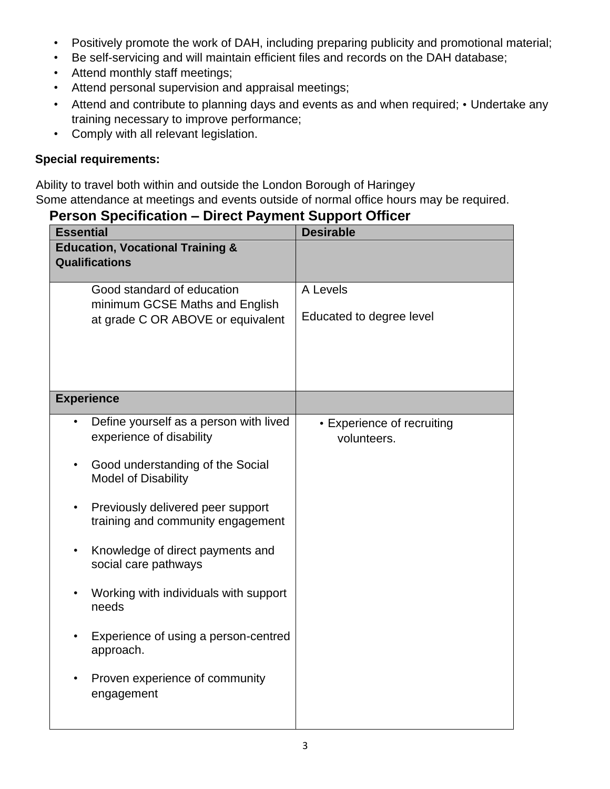- Positively promote the work of DAH, including preparing publicity and promotional material;
- Be self-servicing and will maintain efficient files and records on the DAH database;
- Attend monthly staff meetings;
- Attend personal supervision and appraisal meetings;
- Attend and contribute to planning days and events as and when required; Undertake any training necessary to improve performance;
- Comply with all relevant legislation.

#### **Special requirements:**

Ability to travel both within and outside the London Borough of Haringey

Some attendance at meetings and events outside of normal office hours may be required.

# **Person Specification – Direct Payment Support Officer**

| <b>Essential</b>                                                     |                                                                        | <b>Desirable</b>                          |
|----------------------------------------------------------------------|------------------------------------------------------------------------|-------------------------------------------|
| <b>Education, Vocational Training &amp;</b><br><b>Qualifications</b> |                                                                        |                                           |
|                                                                      | Good standard of education                                             | A Levels                                  |
|                                                                      | minimum GCSE Maths and English<br>at grade C OR ABOVE or equivalent    | Educated to degree level                  |
|                                                                      |                                                                        |                                           |
|                                                                      | <b>Experience</b>                                                      |                                           |
| $\bullet$                                                            | Define yourself as a person with lived<br>experience of disability     | • Experience of recruiting<br>volunteers. |
|                                                                      | Good understanding of the Social<br><b>Model of Disability</b>         |                                           |
|                                                                      | Previously delivered peer support<br>training and community engagement |                                           |
| $\bullet$                                                            | Knowledge of direct payments and<br>social care pathways               |                                           |
|                                                                      | Working with individuals with support<br>needs                         |                                           |
|                                                                      | Experience of using a person-centred<br>approach.                      |                                           |
|                                                                      | Proven experience of community<br>engagement                           |                                           |
|                                                                      |                                                                        |                                           |